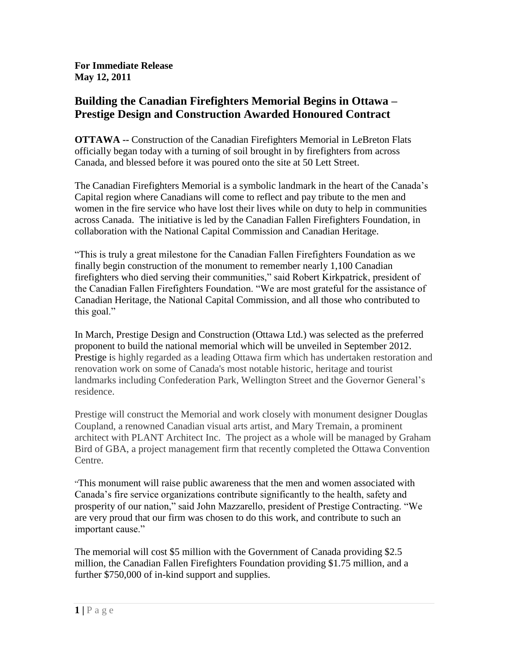**For Immediate Release May 12, 2011**

## **Building the Canadian Firefighters Memorial Begins in Ottawa – Prestige Design and Construction Awarded Honoured Contract**

**OTTAWA --** Construction of the Canadian Firefighters Memorial in LeBreton Flats officially began today with a turning of soil brought in by firefighters from across Canada, and blessed before it was poured onto the site at 50 Lett Street.

The Canadian Firefighters Memorial is a symbolic landmark in the heart of the Canada's Capital region where Canadians will come to reflect and pay tribute to the men and women in the fire service who have lost their lives while on duty to help in communities across Canada. The initiative is led by the Canadian Fallen Firefighters Foundation, in collaboration with the National Capital Commission and Canadian Heritage.

"This is truly a great milestone for the Canadian Fallen Firefighters Foundation as we finally begin construction of the monument to remember nearly 1,100 Canadian firefighters who died serving their communities," said Robert Kirkpatrick, president of the Canadian Fallen Firefighters Foundation. "We are most grateful for the assistance of Canadian Heritage, the National Capital Commission, and all those who contributed to this goal."

In March, Prestige Design and Construction (Ottawa Ltd.) was selected as the preferred proponent to build the national memorial which will be unveiled in September 2012. Prestige is highly regarded as a leading Ottawa firm which has undertaken restoration and renovation work on some of Canada's most notable historic, heritage and tourist landmarks including Confederation Park, Wellington Street and the Governor General's residence.

Prestige will construct the Memorial and work closely with monument designer Douglas Coupland, a renowned Canadian visual arts artist, and Mary Tremain, a prominent architect with PLANT Architect Inc. The project as a whole will be managed by Graham Bird of GBA, a project management firm that recently completed the Ottawa Convention Centre.

"This monument will raise public awareness that the men and women associated with Canada's fire service organizations contribute significantly to the health, safety and prosperity of our nation," said John Mazzarello, president of Prestige Contracting. "We are very proud that our firm was chosen to do this work, and contribute to such an important cause."

The memorial will cost \$5 million with the Government of Canada providing \$2.5 million, the Canadian Fallen Firefighters Foundation providing \$1.75 million, and a further \$750,000 of in-kind support and supplies.